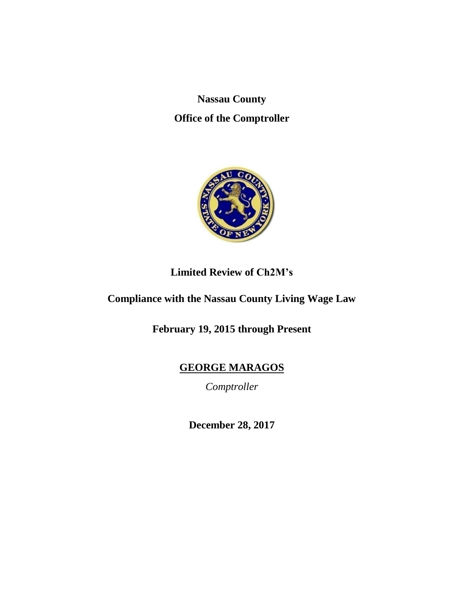**Nassau County Office of the Comptroller**



# **Limited Review of Ch2M's**

# **Compliance with the Nassau County Living Wage Law**

**February 19, 2015 through Present**

**GEORGE MARAGOS**

*Comptroller*

**December 28, 2017**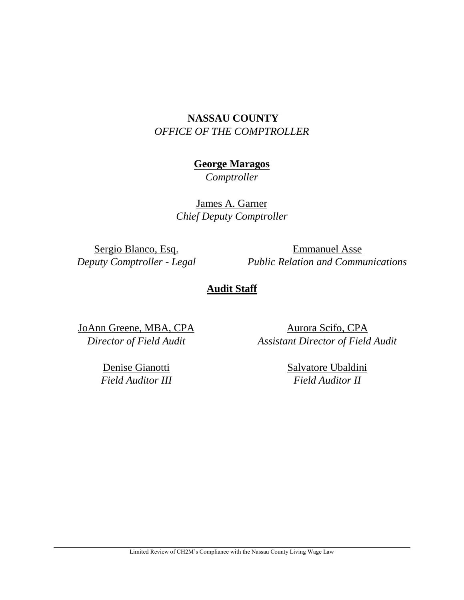## **NASSAU COUNTY** *OFFICE OF THE COMPTROLLER*

## **George Maragos**

*Comptroller*

James A. Garner *Chief Deputy Comptroller*

Sergio Blanco, Esq. *Deputy Comptroller - Legal*

Emmanuel Asse *Public Relation and Communications*

## **Audit Staff**

JoAnn Greene, MBA, CPA *Director of Field Audit*

Aurora Scifo, CPA *Assistant Director of Field Audit*

Denise Gianotti *Field Auditor III* Salvatore Ubaldini *Field Auditor II*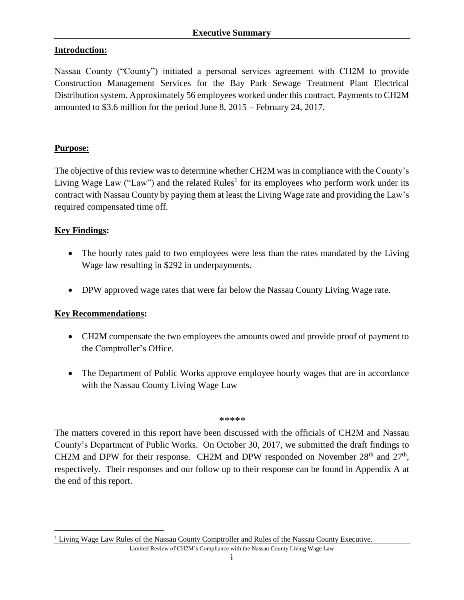## **Introduction:**

Nassau County ("County") initiated a personal services agreement with CH2M to provide Construction Management Services for the Bay Park Sewage Treatment Plant Electrical Distribution system. Approximately 56 employees worked under this contract. Payments to CH2M amounted to \$3.6 million for the period June 8, 2015 – February 24, 2017.

#### **Purpose:**

The objective of this review was to determine whether CH2M was in compliance with the County's Living Wage Law ("Law") and the related Rules<sup>1</sup> for its employees who perform work under its contract with Nassau County by paying them at least the Living Wage rate and providing the Law's required compensated time off.

### **Key Findings:**

 $\overline{a}$ 

- The hourly rates paid to two employees were less than the rates mandated by the Living Wage law resulting in \$292 in underpayments.
- DPW approved wage rates that were far below the Nassau County Living Wage rate.

#### **Key Recommendations:**

- CH2M compensate the two employees the amounts owed and provide proof of payment to the Comptroller's Office.
- The Department of Public Works approve employee hourly wages that are in accordance with the Nassau County Living Wage Law

#### *\*\*\*\*\**

The matters covered in this report have been discussed with the officials of CH2M and Nassau County's Department of Public Works. On October 30, 2017, we submitted the draft findings to CH2M and DPW for their response. CH2M and DPW responded on November  $28<sup>th</sup>$  and  $27<sup>th</sup>$ , respectively. Their responses and our follow up to their response can be found in Appendix A at the end of this report.

<sup>1</sup> Living Wage Law Rules of the Nassau County Comptroller and Rules of the Nassau County Executive.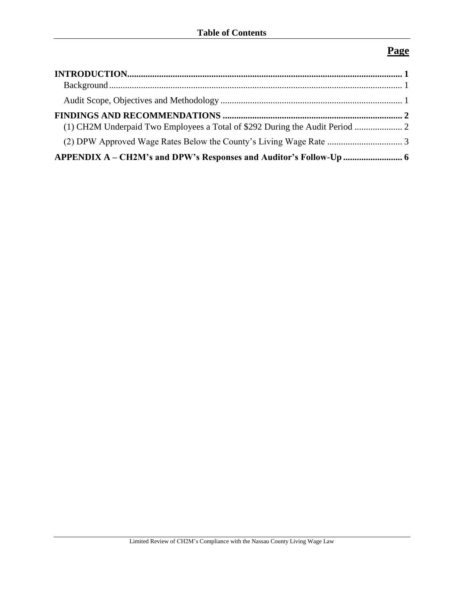# **Page**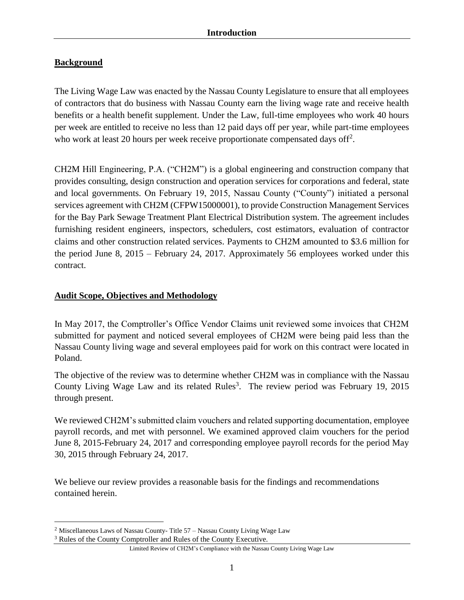## <span id="page-4-1"></span><span id="page-4-0"></span>**Background**

The Living Wage Law was enacted by the Nassau County Legislature to ensure that all employees of contractors that do business with Nassau County earn the living wage rate and receive health benefits or a health benefit supplement. Under the Law, full-time employees who work 40 hours per week are entitled to receive no less than 12 paid days off per year, while part-time employees who work at least 20 hours per week receive proportionate compensated days off<sup>2</sup>.

CH2M Hill Engineering, P.A. ("CH2M") is a global engineering and construction company that provides consulting, design construction and operation services for corporations and federal, state and local governments. On February 19, 2015, Nassau County ("County") initiated a personal services agreement with CH2M (CFPW15000001), to provide Construction Management Services for the Bay Park Sewage Treatment Plant Electrical Distribution system. The agreement includes furnishing resident engineers, inspectors, schedulers, cost estimators, evaluation of contractor claims and other construction related services. Payments to CH2M amounted to \$3.6 million for the period June 8, 2015 – February 24, 2017. Approximately 56 employees worked under this contract.

## <span id="page-4-2"></span>**Audit Scope, Objectives and Methodology**

In May 2017, the Comptroller's Office Vendor Claims unit reviewed some invoices that CH2M submitted for payment and noticed several employees of CH2M were being paid less than the Nassau County living wage and several employees paid for work on this contract were located in Poland.

The objective of the review was to determine whether CH2M was in compliance with the Nassau County Living Wage Law and its related Rules<sup>3</sup>. The review period was February 19, 2015 through present.

We reviewed CH2M's submitted claim vouchers and related supporting documentation, employee payroll records, and met with personnel. We examined approved claim vouchers for the period June 8, 2015-February 24, 2017 and corresponding employee payroll records for the period May 30, 2015 through February 24, 2017.

We believe our review provides a reasonable basis for the findings and recommendations contained herein.

 $\overline{a}$ 

Limited Review of CH2M's Compliance with the Nassau County Living Wage Law

<sup>&</sup>lt;sup>2</sup> Miscellaneous Laws of Nassau County-Title  $57 -$ Nassau County Living Wage Law

<sup>3</sup> Rules of the County Comptroller and Rules of the County Executive.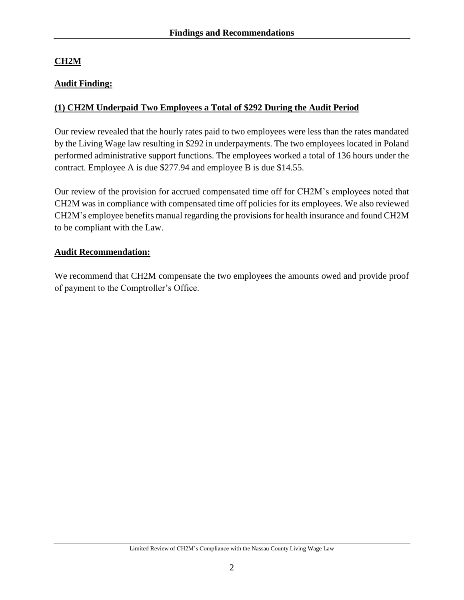## <span id="page-5-0"></span>**CH2M**

## **Audit Finding:**

## <span id="page-5-1"></span>**(1) CH2M Underpaid Two Employees a Total of \$292 During the Audit Period**

Our review revealed that the hourly rates paid to two employees were less than the rates mandated by the Living Wage law resulting in \$292 in underpayments. The two employees located in Poland performed administrative support functions. The employees worked a total of 136 hours under the contract. Employee A is due \$277.94 and employee B is due \$14.55.

Our review of the provision for accrued compensated time off for CH2M's employees noted that CH2M was in compliance with compensated time off policies for its employees. We also reviewed CH2M's employee benefits manual regarding the provisions for health insurance and found CH2M to be compliant with the Law.

### **Audit Recommendation:**

We recommend that CH2M compensate the two employees the amounts owed and provide proof of payment to the Comptroller's Office.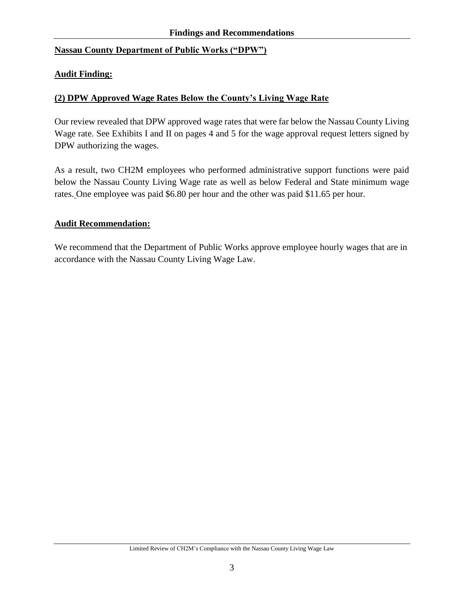### **Nassau County Department of Public Works ("DPW")**

#### **Audit Finding:**

#### <span id="page-6-0"></span>**(2) DPW Approved Wage Rates Below the County's Living Wage Rate**

Our review revealed that DPW approved wage rates that were far below the Nassau County Living Wage rate. See Exhibits I and II on pages 4 and 5 for the wage approval request letters signed by DPW authorizing the wages.

As a result, two CH2M employees who performed administrative support functions were paid below the Nassau County Living Wage rate as well as below Federal and State minimum wage rates. One employee was paid \$6.80 per hour and the other was paid \$11.65 per hour.

#### **Audit Recommendation:**

We recommend that the Department of Public Works approve employee hourly wages that are in accordance with the Nassau County Living Wage Law.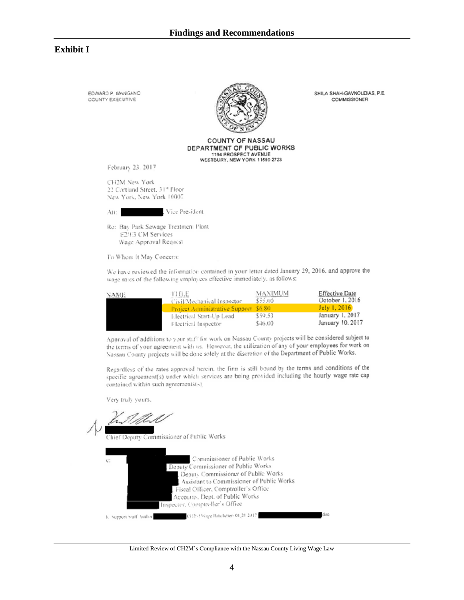#### **Exhibit I**

EDWARD P. MANGANO CCUNTY EXECUTIVE



**COUNTY OF NASSAU** 

SHILA SHAH-GAVNOUDIAS, P.E.

**COMMISSIONER** 

DEPARTMENT OF PUBLIC WORKS 1194 PROSPECT AVENUE WESTBURY, NEW YORK 11590-2723

February 23, 2017

CH2M New York 22 Cortland Street, 31st Floor New York, New York 10007

Vice President Att:

Re: Bay Park Sewage Treatment Plant £2/E3 CM Services Wage Approval Request

To Whom It May Concern:

We have reviewed the information contained in your letter dated January 29, 2016, and approve the wage rates of the following employees effective immediately, as follows:

| NAME. | 10 CUE<br>Civil/Mechanical Inspector   | MAXIMUM<br>\$55.00 | <b>Effective Date</b><br>October 1, 2016 |
|-------|----------------------------------------|--------------------|------------------------------------------|
|       | Project Administrative Support \$6.80. |                    | July $1, 2016$                           |
|       | Electrical Start-Up Lead               | \$59.53            | January 1, 2017                          |
|       | Electrical Inspector                   | \$46.00            | January 10, 2017                         |

Approval of additions to your staff for work on Nassau County projects will be considered subject to the terms of your agreement with us. However, the utilization of any of your employees for work on Nassau County projects will be done solely at the discretion of the Department of Public Works.

Regardless of the rates approved herein, the firm is still bound by the terms and conditions of the specific agreement(s) under which services are being provided including the hourly wage rate cap contained within such agreements(-).

Very truly yours.

hief Deputy Commissioner of Public Works

| c: | Commissioner of Public Works                                       |     |
|----|--------------------------------------------------------------------|-----|
|    | Deputy Commissioner of Public Works                                |     |
|    | Deputy Commissioner of Public Works                                |     |
|    | Assistant to Commissioner of Public Works                          |     |
|    | Fiscal Officer, Comptroller's Office                               |     |
|    | Accounts, Dept. of Public Works                                    |     |
|    | Inspector, Compareller's Office                                    |     |
|    | (912-33 Veige Rate letter- 01[21/2017]<br>K. Support Staff Author- | doc |

Limited Review of CH2M's Compliance with the Nassau County Living Wage Law

 $\overline{4}$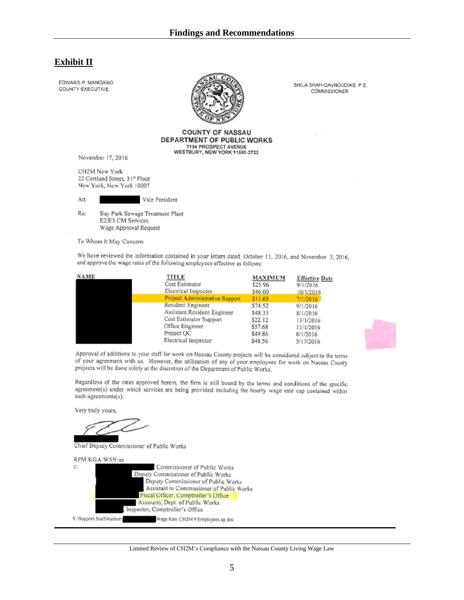#### **Exhibit II**

EDWARD P. MANGANO COUNTY EXECUTIVE



**COUNTY OF NASSAU** DEPARTMENT OF PUBLIC WORKS 1194 PROSPECT AVENUE WESTBURY, NEW YORK 11590-2723

November 17, 2016

CH2M New York 22 Cortland Street, 31<sup>g</sup> Floor New York, New York 10007

Att: Vice President

Re: Bay Park Sewage Treatment Plant E2/E3 CM Services Wage Approval Request

To Whom It May Concern:

We have reviewed the information contained in your letters dated October 13, 2016, and November 3, 2016, and approve the wage rates of the following employees effective as follows:

| <b>NAME</b> | TITLE                                 | <b>MAXIMUM</b> | <b>Effective Date</b> |
|-------------|---------------------------------------|----------------|-----------------------|
|             | Cost Estimator                        | \$25.96        | 9/1/2016              |
|             | Electrical Inspector                  | \$46.00        | 10/1/2016             |
|             | <b>Project Administrative Support</b> | \$11.65        | 7/1/2016              |
|             | Resident Engineer                     | \$74.52        | 9/1/2016              |
|             | Assistant Resident Engineer           | \$48.33        | 8/1/2016              |
|             | Cost Estimator Support                | \$22.12        | 11/1/2016             |
|             | Office Engineer                       | \$57.68        | 11/1/2016             |
|             | Project QC                            | \$49.86        | 8/1/2016              |
|             | Electrical Inspector                  | \$48.56        | 5/17/2016             |



Approval of additions to your staff for work on Nassau County projects will be considered subject to the terms of your agreement with us. However, the utilization of any of your employees for work on Nassau County projects will be done solely at the discretion of the Department of Public Works.

Regardless of the rates approved herein, the firm is still bound by the terms and conditions of the specific agreement(s) under which services are being provided including the hourly wage rate cap contained within such agreements(s).

Very truly yours,

Chief Deputy Commissioner of Public Works

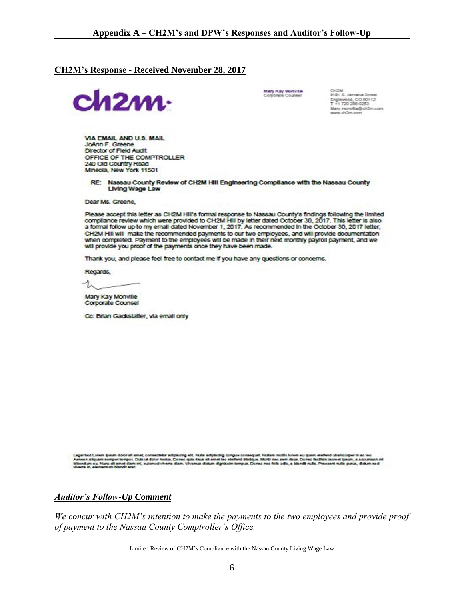#### <span id="page-9-0"></span>**CH2M's Response - Received November 28, 2017**



Mary Kay Monville<br>Corporate Counsel

CH2M<br>9191 S. Jamaica Street Englewood, CO 80112<br>T +1 720 286-0253 Mary monvilla@ch2m.com<br>www.ch2m.com

VIA EMAIL AND U.S. MAIL JoAnn F. Greene **Director of Field Audit** OFFICE OF THE COMPTROLLER 240 Old Country Road Mineola, New York 11501

RE: Nassau County Review of CH2M Hill Engineering Compilance with the Nassau County Living Wage Law

Dear Ms. Greene,

Please accept this letter as CH2M Hill's formal response to Nassau County's findings following the limited compliance review which were provided to CH2M HIII by letter dated October 30, 2017. This letter is also a formal follow up to my email dated November 1, 2017. As recommended in the October 30, 2017 letter, CH2M Hill will make the recommended payments to our two employees, and will provide documentation when completed. Payment to the employees will be made in their next monthly payroll payment, and we will provide you proof of the payments once they have been made.

Thank you, and please feel free to contact me if you have any questions or concerns.

Regards,

ーム

Mary Kay Monville Corporate Counsel

Cc: Brian Gackstatter, via email only

alt. Nulla adplacing cong<br>quis risus sit amet leo elei leonest Ipeum, a accumente r. Dula ut dolor metus. Done .<br>Next tristique, Morté nec sem risus, Conec facilists lacreet içe.<br>tempus, Conec nec fells odo, a bisndit nuta. Praesent nuta ; ou. Nunc alt as at dia  $m =$ 

*Auditor's Follow-Up Comment* 

*We concur with CH2M's intention to make the payments to the two employees and provide proof of payment to the Nassau County Comptroller's Office.*